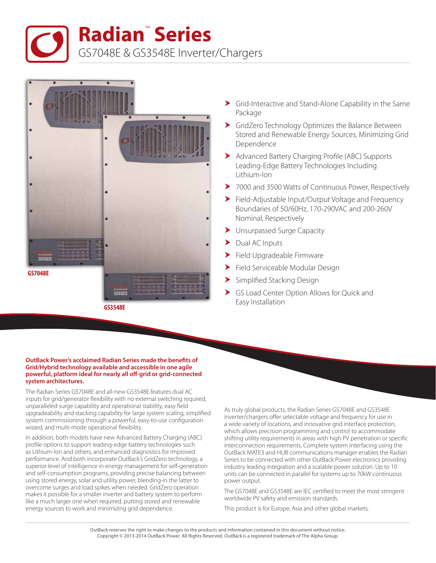**Radian**™  **Series**

GS7048E & GS3548E Inverter/Chargers



**GS3548E**

- Grid-Interactive and Stand-Alone Capability in the Same Package
- GridZero Technology Optimizes the Balance Between Stored and Renewable Energy Sources, Minimizing Grid Dependence
- Advanced Battery Charging Profile (ABC) Supports Leading-Edge Battery Technologies Including Lithium-Ion
- ▶ 7000 and 3500 Watts of Continuous Power, Respectively
- Field-Adjustable Input/Output Voltage and Frequency Boundaries of 50/60Hz, 170-290VAC and 200-260V Nominal, Respectively
- Unsurpassed Surge Capacity
- $\blacktriangleright$  Dual AC Inputs
- Field Upgradeable Firmware
- Field Serviceable Modular Design
- Simplified Stacking Design
- GS Load Center Option Allows for Quick and Easy Installation

## **OutBack Power's acclaimed Radian Series made the benefits of Grid/Hybrid technology available and accessible in one agile powerful, platform ideal for nearly all off-grid or grid-connected system architectures.**

The Radian Series GS7048E and all-new GS3548E features dual AC inputs for grid/generator flexibility with no external switching required, unparalleled surge capability and operational stability, easy field upgradeability and stacking capability for large system scaling, simplified system commissioning through a powerful, easy-to-use configuration wizard, and multi-mode operational flexibility.

In addition, both models have new Advanced Battery Charging (ABC) profile options to support leading-edge battery technologies such as Lithium-Ion and others, and enhanced diagnostics for improved performance. And both incorporate OutBack's GridZero technology, a superior level of intelligence in energy management for self-generation and self-consumption programs, providing precise balancing between using stored energy, solar and utility power, blending-in the latter to overcome surges and load spikes when needed. GridZero operation makes it possible for a smaller inverter and battery system to perform like a much larger one when required, putting stored and renewable energy sources to work and minimizing grid dependence.

As truly global products, the Radian Series GS7048E and GS3548E inverter/chargers offer selectable voltage and frequency for use in a wide variety of locations, and innovative grid interface protection, which allows precision programming and control to accommodate shifting utility requirements in areas with high PV penetration or specific interconnection requirements. Complete system interfacing using the OutBack MATE3 and HUB communications manager enables the Radian Series to be connected with other OutBack Power electronics providing industry leading integration and a scalable power solution. Up to 10 units can be connected in parallel for systems up to 70kW continuous power output.

The GS7048E and GS3548E are IEC certified to meet the most stringent worldwide PV safety and emission standards.

This product is for Europe, Asia and other global markets.

OutBack reserves the right to make changes to the products and information contained in this document without notice. Copyright © 2013-2014 OutBack Power. All Rights Reserved. OutBack is a registered trademark of The Alpha Group.